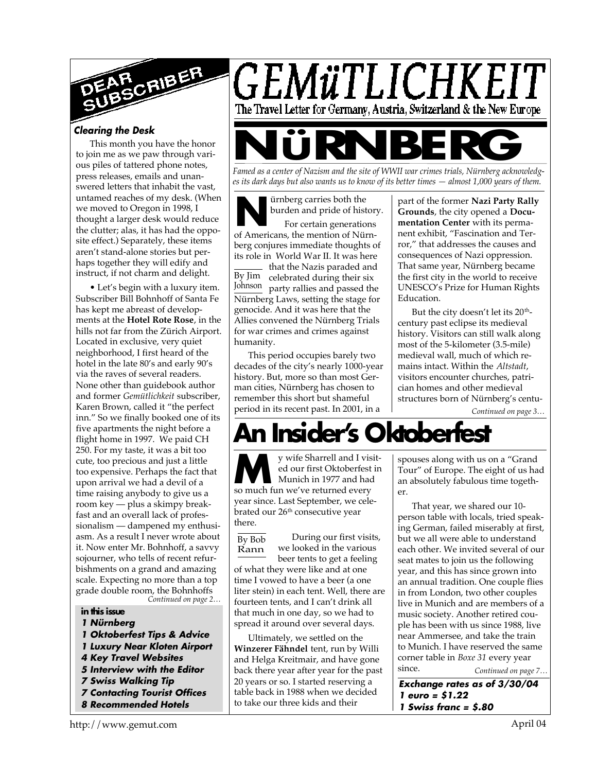

#### *Clearing the Desk*

This month you have the honor to join me as we paw through various piles of tattered phone notes, press releases, emails and unanswered letters that inhabit the vast, untamed reaches of my desk. (When we moved to Oregon in 1998, I thought a larger desk would reduce the clutter; alas, it has had the opposite effect.) Separately, these items aren't stand-alone stories but perhaps together they will edify and instruct, if not charm and delight.

*Continued on page 2…* • Let's begin with a luxury item. Subscriber Bill Bohnhoff of Santa Fe has kept me abreast of developments at the **Hotel Rote Rose**, in the hills not far from the Zürich Airport. Located in exclusive, very quiet neighborhood, I first heard of the hotel in the late 80's and early 90's via the raves of several readers. None other than guidebook author and former *Gemütlichkeit* subscriber, Karen Brown, called it "the perfect inn." So we finally booked one of its five apartments the night before a flight home in 1997. We paid CH 250. For my taste, it was a bit too cute, too precious and just a little too expensive. Perhaps the fact that upon arrival we had a devil of a time raising anybody to give us a room key — plus a skimpy breakfast and an overall lack of professionalism — dampened my enthusiasm. As a result I never wrote about it. Now enter Mr. Bohnhoff, a savvy sojourner, who tells of recent refurbishments on a grand and amazing scale. Expecting no more than a top grade double room, the Bohnhoffs

#### **in this issue**

- *1 Nürnberg*
- *1 Oktoberfest Tips & Advice*
- *1 Luxury Near Kloten Airport*
- *4 Key Travel Websites*
- *5 Interview with the Editor*
- *7 Swiss Walking Tip*
- *7 Contacting Tourist Offices 8 Recommended Hotels*

GEMüTLICHKEIT The Travel Letter for Germany, Austria, Switzerland & the New Europe **Famed as a center of Nazism and the site of WWII war crimes trials, Nürnberg acknowledg-**

*es its dark days but also wants us to know of its better times — almost 1,000 years of them.*

**Notative System Startup Serverture Startup**<br>
For certain generations<br>
of Americans, the mention of Nürnürnberg carries both the burden and pride of history.

For certain generations berg conjures immediate thoughts of its role in World War II. It was here

By Jim celebrated during their six Johnson party rallies and passed the that the Nazis paraded and Nürnberg Laws, setting the stage for genocide. And it was here that the Allies convened the Nürnberg Trials for war crimes and crimes against humanity.

This period occupies barely two decades of the city's nearly 1000-year history. But, more so than most German cities, Nürnberg has chosen to remember this short but shameful period in its recent past. In 2001, in a

part of the former **Nazi Party Rally Grounds**, the city opened a **Documentation Center** with its permanent exhibit, "Fascination and Terror," that addresses the causes and consequences of Nazi oppression. That same year, Nürnberg became the first city in the world to receive UNESCO's Prize for Human Rights Education.

But the city doesn't let its 20<sup>th</sup>century past eclipse its medieval history. Visitors can still walk along most of the 5-kilometer (3.5-mile) medieval wall, much of which remains intact. Within the *Altstadt*, visitors encounter churches, patrician homes and other medieval structures born of Nürnberg's centu-

*Continued on page 3…*

# **A** Insider's Oktoberfes

**M**so wife Sharrell and I vised our first Oktoberfest<br>
Munich in 1977 and had<br>
so much fun we've returned every y wife Sharrell and I visited our first Oktoberfest in Munich in 1977 and had year since. Last September, we celebrated our 26<sup>th</sup> consecutive year there.

During our first visits, we looked in the various beer tents to get a feeling of what they were like and at one time I vowed to have a beer (a one liter stein) in each tent. Well, there are fourteen tents, and I can't drink all that much in one day, so we had to spread it around over several days. By Bob Rann

Ultimately, we settled on the **Winzerer Fähndel** tent, run by Willi and Helga Kreitmair, and have gone back there year after year for the past 20 years or so. I started reserving a table back in 1988 when we decided to take our three kids and their

spouses along with us on a "Grand Tour" of Europe. The eight of us had an absolutely fabulous time together.

*Continued on page 7…* That year, we shared our 10 person table with locals, tried speaking German, failed miserably at first, but we all were able to understand each other. We invited several of our seat mates to join us the following year, and this has since grown into an annual tradition. One couple flies in from London, two other couples live in Munich and are members of a music society. Another retired couple has been with us since 1988, live near Ammersee, and take the train to Munich. I have reserved the same corner table in *Boxe 31* every year since.

*Exchange rates as of 3/30/04 1 euro = \$1.22 1 Swiss franc = \$.80*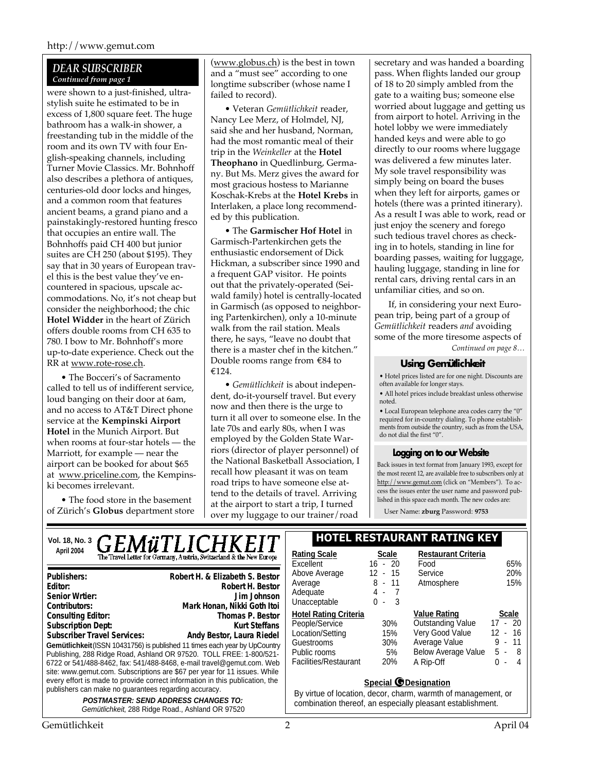#### *DEAR SUBSCRIBER Continued from page 1*

were shown to a just-finished, ultrastylish suite he estimated to be in excess of 1,800 square feet. The huge bathroom has a walk-in shower, a freestanding tub in the middle of the room and its own TV with four English-speaking channels, including Turner Movie Classics. Mr. Bohnhoff also describes a plethora of antiques, centuries-old door locks and hinges, and a common room that features ancient beams, a grand piano and a painstakingly-restored hunting fresco that occupies an entire wall. The Bohnhoffs paid CH 400 but junior suites are CH 250 (about \$195). They say that in 30 years of European travel this is the best value they've encountered in spacious, upscale accommodations. No, it's not cheap but consider the neighborhood; the chic **Hotel Widder** in the heart of Zürich offers double rooms from CH 635 to 780. I bow to Mr. Bohnhoff's more up-to-date experience. Check out the RR at www.rote-rose.ch.

• The Bocceri's of Sacramento called to tell us of indifferent service, loud banging on their door at 6am, and no access to AT&T Direct phone service at the **Kempinski Airport Hotel** in the Munich Airport. But when rooms at four-star hotels — the Marriott, for example — near the airport can be booked for about \$65 at www.priceline.com, the Kempinski becomes irrelevant.

• The food store in the basement of Zürich's **Globus** department store (www.globus.ch) is the best in town and a "must see" according to one longtime subscriber (whose name I failed to record).

• Veteran *Gemütlichkeit* reader, Nancy Lee Merz, of Holmdel, NJ, said she and her husband, Norman, had the most romantic meal of their trip in the *Weinkeller* at the **Hotel Theophano** in Quedlinburg, Germany. But Ms. Merz gives the award for most gracious hostess to Marianne Koschak-Krebs at the **Hotel Krebs** in Interlaken, a place long recommended by this publication.

• The **Garmischer Hof Hotel** in Garmisch-Partenkirchen gets the enthusiastic endorsement of Dick Hickman, a subscriber since 1990 and a frequent GAP visitor. He points out that the privately-operated (Seiwald family) hotel is centrally-located in Garmisch (as opposed to neighboring Partenkirchen), only a 10-minute walk from the rail station. Meals there, he says, "leave no doubt that there is a master chef in the kitchen." Double rooms range from €84 to €124.

• *Gemütlichkeit* is about independent, do-it-yourself travel. But every now and then there is the urge to turn it all over to someone else. In the late 70s and early 80s, when I was employed by the Golden State Warriors (director of player personnel) of the National Basketball Association, I recall how pleasant it was on team road trips to have someone else attend to the details of travel. Arriving at the airport to start a trip, I turned over my luggage to our trainer/road

secretary and was handed a boarding pass. When flights landed our group of 18 to 20 simply ambled from the gate to a waiting bus; someone else worried about luggage and getting us from airport to hotel. Arriving in the hotel lobby we were immediately handed keys and were able to go directly to our rooms where luggage was delivered a few minutes later. My sole travel responsibility was simply being on board the buses when they left for airports, games or hotels (there was a printed itinerary). As a result I was able to work, read or just enjoy the scenery and forego such tedious travel chores as checking in to hotels, standing in line for boarding passes, waiting for luggage, hauling luggage, standing in line for rental cars, driving rental cars in an unfamiliar cities, and so on.

If, in considering your next European trip, being part of a group of *Gemütlichkeit* readers *and* avoiding some of the more tiresome aspects of

*Continued on page 8…*

#### **Using Gemütlichkeit**

• Hotel prices listed are for one night. Discounts are often available for longer stays.

• All hotel prices include breakfast unless otherwise noted.

• Local European telephone area codes carry the "0" required for in-country dialing. To phone establishments from outside the country, such as from the USA, do not dial the first "0".

#### **Logging on to our Website**

Back issues in text format from January 1993, except for the most recent 12, are available free to subscribers only at http://www.gemut.com (click on "Members"). To access the issues enter the user name and password published in this space each month. The new codes are:

User Name: **zburg** Password: **9753**

|  | Vol. 18, No. 3                                                                                                                                                                                                                                                                                                            | <b>HOTEL RESTAURANT RATING KEY</b>                                                                                                                  |                                                                                                                                                             |                                             |                                                                                                                                |                                                                          |
|--|---------------------------------------------------------------------------------------------------------------------------------------------------------------------------------------------------------------------------------------------------------------------------------------------------------------------------|-----------------------------------------------------------------------------------------------------------------------------------------------------|-------------------------------------------------------------------------------------------------------------------------------------------------------------|---------------------------------------------|--------------------------------------------------------------------------------------------------------------------------------|--------------------------------------------------------------------------|
|  | April 2004                                                                                                                                                                                                                                                                                                                | <b>GEMÜTLICHKEIT</b><br>The Travel Letter for Germany, Austria, Switzerland & the New Europe                                                        | <b>Rating Scale</b><br>Excellent                                                                                                                            | <b>Scale</b><br>$16 - 20$                   | <b>Restaurant Criteria</b><br>Food                                                                                             | 65%                                                                      |
|  | Publishers:<br>Editor:<br>Senior Wrtier:<br>Contributors:                                                                                                                                                                                                                                                                 | Robert H. & Elizabeth S. Bestor<br>Robert H. Bestor<br>Jim Johnson<br>Mark Honan, Nikki Goth Itoi                                                   | Above Average<br>Average<br>Adequate<br>Unacceptable                                                                                                        | $12 - 15$<br>$8 - 11$<br>$4 - 7$<br>$0 - 3$ | Service<br>Atmosphere                                                                                                          | 20%<br>15%                                                               |
|  | <b>Consulting Editor:</b><br><b>Subscription Dept:</b><br><b>Subscriber Travel Services:</b><br>Publishing, 288 Ridge Road, Ashland OR 97520. TOLL FREE: 1-800/521-<br>6722 or 541/488-8462, fax: 541/488-8468, e-mail travel@gemut.com. Web<br>site: www.gemut.com. Subscriptions are \$67 per year for 11 issues. While | Thomas P. Bestor<br><b>Kurt Steffans</b><br>Andy Bestor, Laura Riedel<br>Gemütlichkeit (ISSN 10431756) is published 11 times each year by UpCountry | <b>Hotel Rating Criteria</b><br>People/Service<br>Location/Setting<br>Guestrooms<br>Public rooms<br>Facilities/Restaurant                                   | 30%<br>15%<br>30%<br>5%<br>20%              | <b>Value Rating</b><br><b>Outstanding Value</b><br>Very Good Value<br>Average Value<br><b>Below Average Value</b><br>A Rip-Off | <b>Scale</b><br>$17 - 20$<br>$12 - 16$<br>$9 - 11$<br>$5 - 8$<br>$0 - 4$ |
|  | every effort is made to provide correct information in this publication, the<br>publishers can make no guarantees regarding accuracy.<br><b>POSTMASTER: SEND ADDRESS CHANGES TO:</b><br>Gemütlichkeit, 288 Ridge Road., Ashland OR 97520                                                                                  |                                                                                                                                                     | Special <b>O</b> Designation<br>By virtue of location, decor, charm, warmth of management, or<br>combination thereof, an especially pleasant establishment. |                                             |                                                                                                                                |                                                                          |

Gemütlichkeit 2 April 04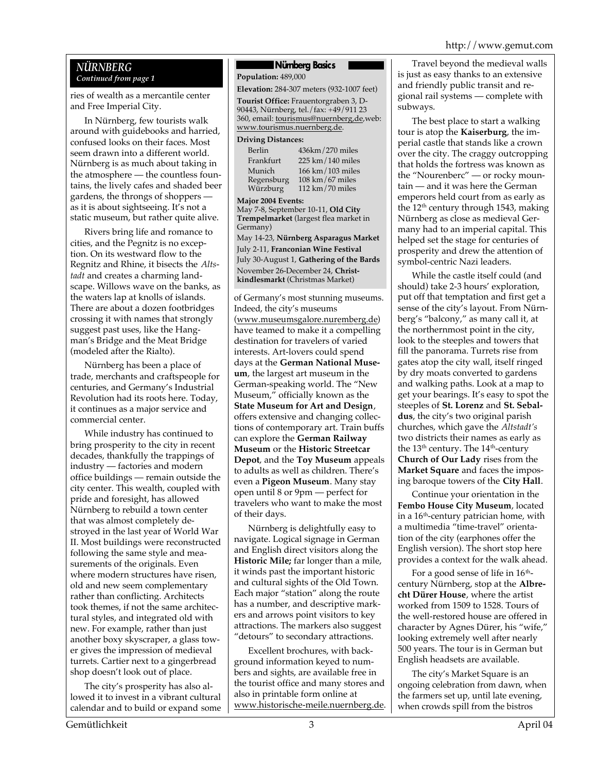#### *NÜRNBERG Continued from page 1*

ries of wealth as a mercantile center and Free Imperial City.

In Nürnberg, few tourists walk around with guidebooks and harried, confused looks on their faces. Most seem drawn into a different world. Nürnberg is as much about taking in the atmosphere — the countless fountains, the lively cafes and shaded beer gardens, the throngs of shoppers as it is about sightseeing. It's not a static museum, but rather quite alive.

Rivers bring life and romance to cities, and the Pegnitz is no exception. On its westward flow to the Regnitz and Rhine, it bisects the *Altstadt* and creates a charming landscape. Willows wave on the banks, as the waters lap at knolls of islands. There are about a dozen footbridges crossing it with names that strongly suggest past uses, like the Hangman's Bridge and the Meat Bridge (modeled after the Rialto).

Nürnberg has been a place of trade, merchants and craftspeople for centuries, and Germany's Industrial Revolution had its roots here. Today, it continues as a major service and commercial center.

While industry has continued to bring prosperity to the city in recent decades, thankfully the trappings of industry — factories and modern office buildings — remain outside the city center. This wealth, coupled with pride and foresight, has allowed Nürnberg to rebuild a town center that was almost completely destroyed in the last year of World War II. Most buildings were reconstructed following the same style and measurements of the originals. Even where modern structures have risen, old and new seem complementary rather than conflicting. Architects took themes, if not the same architectural styles, and integrated old with new. For example, rather than just another boxy skyscraper, a glass tower gives the impression of medieval turrets. Cartier next to a gingerbread shop doesn't look out of place.

The city's prosperity has also allowed it to invest in a vibrant cultural calendar and to build or expand some

#### **Nürnberg Basics**

**Population:** 489,000

**Elevation:** 284-307 meters (932-1007 feet)

**Tourist Office:** Frauentorgraben 3, D-90443, Nürnberg, tel./fax: +49/911 23 360, email: tourismus@nuernberg,de,web: www.tourismus.nuernberg.de.

#### **Driving Distances:**

| Berlin     | 436km/270 miles      |
|------------|----------------------|
| Frankfurt  | 225 km / 140 miles   |
| Munich     | 166 km / 103 miles   |
| Regensburg | $108$ km $/67$ miles |
| Würzburg   | 112 km $/70$ miles   |

**Major 2004 Events:**

May 7-8, September 10-11, **Old City Trempelmarket** (largest flea market in Germany) May 14-23, **Nürnberg Asparagus Market** July 2-11, **Franconian Wine Festival** July 30-August 1, **Gathering of the Bards** November 26-December 24, **Christ-**

**kindlesmarkt** (Christmas Market) of Germany's most stunning museums. Indeed, the city's museums (www.museumsgalore.nuremberg.de) have teamed to make it a compelling destination for travelers of varied interests. Art-lovers could spend days at the **German National Museum**, the largest art museum in the German-speaking world. The "New Museum," officially known as the **State Museum for Art and Design**, offers extensive and changing collections of contemporary art. Train buffs can explore the **German Railway Museum** or the **Historic Streetcar Depot**, and the **Toy Museum** appeals to adults as well as children. There's even a **Pigeon Museum**. Many stay open until 8 or 9pm — perfect for travelers who want to make the most of their days.

Nürnberg is delightfully easy to navigate. Logical signage in German and English direct visitors along the **Historic Mile;** far longer than a mile, it winds past the important historic and cultural sights of the Old Town. Each major "station" along the route has a number, and descriptive markers and arrows point visitors to key attractions. The markers also suggest "detours" to secondary attractions.

Excellent brochures, with background information keyed to numbers and sights, are available free in the tourist office and many stores and also in printable form online at www.historische-meile.nuernberg.de.

Travel beyond the medieval walls is just as easy thanks to an extensive and friendly public transit and regional rail systems — complete with subways.

The best place to start a walking tour is atop the **Kaiserburg**, the imperial castle that stands like a crown over the city. The craggy outcropping that holds the fortress was known as the "Nourenberc" — or rocky mountain — and it was here the German emperors held court from as early as the 12<sup>th</sup> century through 1543, making Nürnberg as close as medieval Germany had to an imperial capital. This helped set the stage for centuries of prosperity and drew the attention of symbol-centric Nazi leaders.

While the castle itself could (and should) take 2-3 hours' exploration, put off that temptation and first get a sense of the city's layout. From Nürnberg's "balcony," as many call it, at the northernmost point in the city, look to the steeples and towers that fill the panorama. Turrets rise from gates atop the city wall, itself ringed by dry moats converted to gardens and walking paths. Look at a map to get your bearings. It's easy to spot the steeples of **St. Lorenz** and **St. Sebaldus**, the city's two original parish churches, which gave the *Altstadt's* two districts their names as early as the  $13<sup>th</sup>$  century. The  $14<sup>th</sup>$ -century **Church of Our Lady** rises from the **Market Square** and faces the imposing baroque towers of the **City Hall**.

Continue your orientation in the **Fembo House City Museum**, located in a  $16<sup>th</sup>$ -century patrician home, with a multimedia "time-travel" orientation of the city (earphones offer the English version). The short stop here provides a context for the walk ahead.

For a good sense of life in  $16^{\rm th}$ century Nürnberg, stop at the **Albrecht Dürer House**, where the artist worked from 1509 to 1528. Tours of the well-restored house are offered in character by Agnes Dürer, his "wife," looking extremely well after nearly 500 years. The tour is in German but English headsets are available.

The city's Market Square is an ongoing celebration from dawn, when the farmers set up, until late evening, when crowds spill from the bistros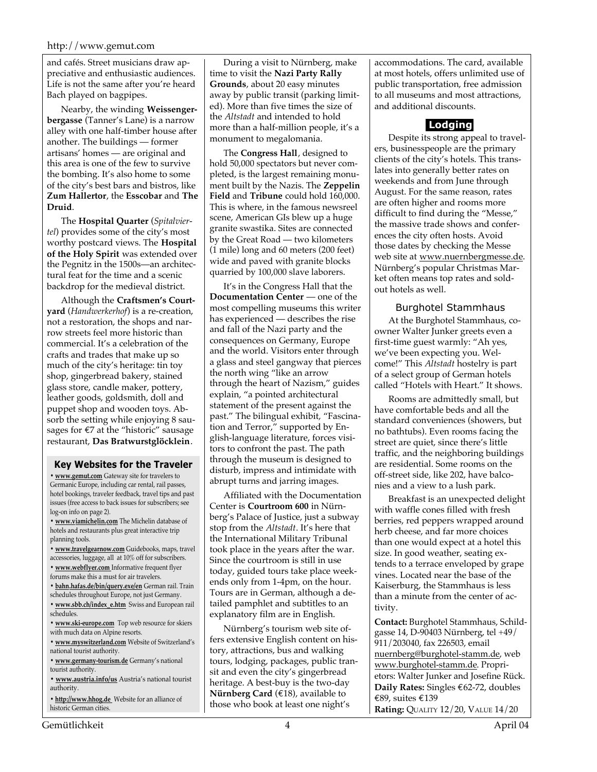and cafés. Street musicians draw appreciative and enthusiastic audiences. Life is not the same after you're heard Bach played on bagpipes.

Nearby, the winding **Weissengerbergasse** (Tanner's Lane) is a narrow alley with one half-timber house after another. The buildings — former artisans' homes — are original and this area is one of the few to survive the bombing. It's also home to some of the city's best bars and bistros, like **Zum Hallertor**, the **Esscobar** and **The Druid**.

The **Hospital Quarter** (*Spitalviertel*) provides some of the city's most worthy postcard views. The **Hospital of the Holy Spirit** was extended over the Pegnitz in the 1500s—an architectural feat for the time and a scenic backdrop for the medieval district.

Although the **Craftsmen's Courtyard** (*Handwerkerhof*) is a re-creation, not a restoration, the shops and narrow streets feel more historic than commercial. It's a celebration of the crafts and trades that make up so much of the city's heritage: tin toy shop, gingerbread bakery, stained glass store, candle maker, pottery, leather goods, goldsmith, doll and puppet shop and wooden toys. Absorb the setting while enjoying 8 sausages for €7 at the "historic" sausage restaurant, **Das Bratwurstglöcklein**.

#### **Key Websites for the Traveler**

**• www.gemut.com** Gateway site for travelers to Germanic Europe, including car rental, rail passes, hotel bookings, traveler feedback, travel tips and past issues (free access to back issues for subscribers; see log-on info on page 2).

**• www.viamichelin.com** The Michelin database of hotels and restaurants plus great interactive trip planning tools.

**• www.travelgearnow.com** Guidebooks, maps, travel accessories, luggage, all at 10% off for subscribers.

- **www.webflyer.com** Informative frequent flyer
- forums make this a must for air travelers.
- **bahn.hafas.de/bin/query.exe/en** German rail. Train schedules throughout Europe, not just Germany.
- **www.sbb.ch/index\_e.htm** Swiss and European rail schedules.
- **www.ski-europe.com** Top web resource for skiers with much data on Alpine resorts.
- **www.myswitzerland.com** Website of Switzerland's national tourist authority.
- **www.germany-tourism.de** Germany's national tourist authority.
- **www.austria.info/us** Austria's national tourist authority.
- **http://www.hhog.de** Website for an alliance of historic German cities.

During a visit to Nürnberg, make time to visit the **Nazi Party Rally Grounds**, about 20 easy minutes away by public transit (parking limited). More than five times the size of the *Altstadt* and intended to hold more than a half-million people, it's a monument to megalomania.

The **Congress Hall**, designed to hold 50,000 spectators but never completed, is the largest remaining monument built by the Nazis. The **Zeppelin Field** and **Tribune** could hold 160,000. This is where, in the famous newsreel scene, American GIs blew up a huge granite swastika. Sites are connected by the Great Road — two kilometers (1 mile) long and 60 meters (200 feet) wide and paved with granite blocks quarried by 100,000 slave laborers.

It's in the Congress Hall that the **Documentation Center** — one of the most compelling museums this writer has experienced — describes the rise and fall of the Nazi party and the consequences on Germany, Europe and the world. Visitors enter through a glass and steel gangway that pierces the north wing "like an arrow through the heart of Nazism," guides explain, "a pointed architectural statement of the present against the past." The bilingual exhibit, "Fascination and Terror," supported by English-language literature, forces visitors to confront the past. The path through the museum is designed to disturb, impress and intimidate with abrupt turns and jarring images.

Affiliated with the Documentation Center is **Courtroom 600** in Nürnberg's Palace of Justice, just a subway stop from the *Altstadt*. It's here that the International Military Tribunal took place in the years after the war. Since the courtroom is still in use today, guided tours take place weekends only from 1-4pm, on the hour. Tours are in German, although a detailed pamphlet and subtitles to an explanatory film are in English.

Nürnberg's tourism web site offers extensive English content on history, attractions, bus and walking tours, lodging, packages, public transit and even the city's gingerbread heritage. A best-buy is the two-day **Nürnberg Card** (€18), available to those who book at least one night's

accommodations. The card, available at most hotels, offers unlimited use of public transportation, free admission to all museums and most attractions, and additional discounts.

### **Lodging**

Despite its strong appeal to travelers, businesspeople are the primary clients of the city's hotels. This translates into generally better rates on weekends and from June through August. For the same reason, rates are often higher and rooms more difficult to find during the "Messe," the massive trade shows and conferences the city often hosts. Avoid those dates by checking the Messe web site at www.nuernbergmesse.de. Nürnberg's popular Christmas Market often means top rates and soldout hotels as well.

#### Burghotel Stammhaus

At the Burghotel Stammhaus, coowner Walter Junker greets even a first-time guest warmly: "Ah yes, we've been expecting you. Welcome!" This *Altstadt* hostelry is part of a select group of German hotels called "Hotels with Heart." It shows.

Rooms are admittedly small, but have comfortable beds and all the standard conveniences (showers, but no bathtubs). Even rooms facing the street are quiet, since there's little traffic, and the neighboring buildings are residential. Some rooms on the off-street side, like 202, have balconies and a view to a lush park.

Breakfast is an unexpected delight with waffle cones filled with fresh berries, red peppers wrapped around herb cheese, and far more choices than one would expect at a hotel this size. In good weather, seating extends to a terrace enveloped by grape vines. Located near the base of the Kaiserburg, the Stammhaus is less than a minute from the center of activity.

**Contact:** Burghotel Stammhaus, Schildgasse 14, D-90403 Nürnberg, tel +49/ 911/203040, fax 226503, email nuernberg@burghotel-stamm.de, web www.burghotel-stamm.de. Proprietors: Walter Junker and Josefine Rück. **Daily Rates:** Singles €62-72, doubles €89, suites €139

**Rating:** QUALITY 12/20, VALUE 14/20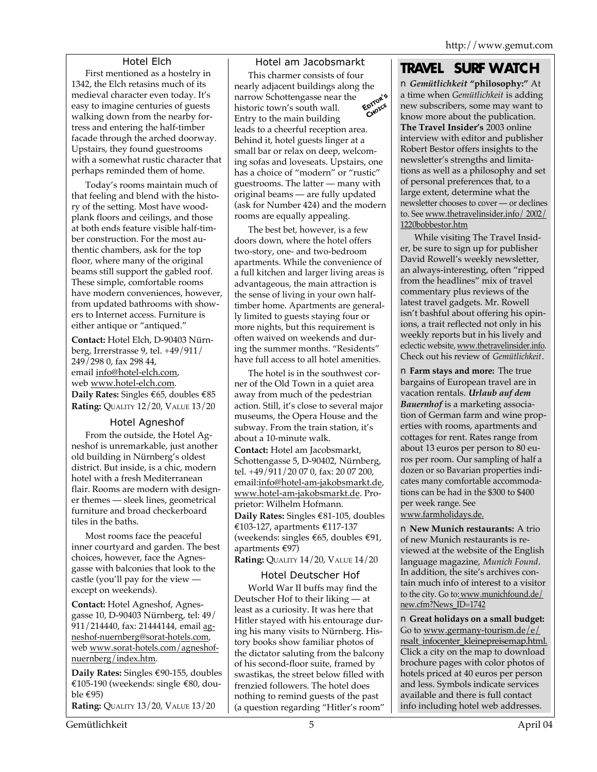### Hotel Elch

First mentioned as a hostelry in 1342, the Elch retasins much of its medieval character even today. It's easy to imagine centuries of guests walking down from the nearby fortress and entering the half-timber facade through the arched doorway. Upstairs, they found guestrooms with a somewhat rustic character that perhaps reminded them of home.

Today's rooms maintain much of that feeling and blend with the history of the setting. Most have woodplank floors and ceilings, and those at both ends feature visible half-timber construction. For the most authentic chambers, ask for the top floor, where many of the original beams still support the gabled roof. These simple, comfortable rooms have modern conveniences, however, from updated bathrooms with showers to Internet access. Furniture is either antique or "antiqued."

**Contact:** Hotel Elch, D-90403 Nürnberg, Irrerstrasse 9, tel. +49/911/ 249/298 0, fax 298 44, email info@hotel-elch.com, web www.hotel-elch.com. **Daily Rates:** Singles €65, doubles €85 **Rating:** QUALITY 12/20, VALUE 13/20

#### Hotel Agneshof

From the outside, the Hotel Agneshof is unremarkable, just another old building in Nürnberg's oldest district. But inside, is a chic, modern hotel with a fresh Mediterranean flair. Rooms are modern with designer themes — sleek lines, geometrical furniture and broad checkerboard tiles in the baths.

Most rooms face the peaceful inner courtyard and garden. The best choices, however, face the Agnesgasse with balconies that look to the castle (you'll pay for the view except on weekends).

**Contact:** Hotel Agneshof, Agnesgasse 10, D-90403 Nürnberg, tel: 49/ 911/214440, fax: 21444144, email agneshof-nuernberg@sorat-hotels.com, web www.sorat-hotels.com/agneshofnuernberg/index.htm.

**Daily Rates:** Singles €90-155, doubles €105-190 (weekends: single €80, double  $\epsilon$ 95)

**Rating:** QUALITY 13/20, VALUE 13/20

Hotel am Jacobsmarkt This charmer consists of four nearly adjacent buildings along the<br>narrow Schottengasse near the<br>historic town's substitution of the state of the state of the state of the state of the state of the state of the state of the state of the state of the sta narrow Schottengasse near the **OITOR** historic town's south wall. Entry to the main building leads to a cheerful reception area. Behind it, hotel guests linger at a small bar or relax on deep, welcoming sofas and loveseats. Upstairs, one has a choice of "modern" or "rustic" guestrooms. The latter — many with original beams — are fully updated (ask for Number 424) and the modern rooms are equally appealing.

The best bet, however, is a few doors down, where the hotel offers two-story, one- and two-bedroom apartments. While the convenience of a full kitchen and larger living areas is advantageous, the main attraction is the sense of living in your own halftimber home. Apartments are generally limited to guests staying four or more nights, but this requirement is often waived on weekends and during the summer months. "Residents" have full access to all hotel amenities.

The hotel is in the southwest corner of the Old Town in a quiet area away from much of the pedestrian action. Still, it's close to several major museums, the Opera House and the subway. From the train station, it's about a 10-minute walk.

**Contact:** Hotel am Jacobsmarkt, Schottengasse 5, D-90402, Nürnberg, tel. +49/911/20 07 0, fax: 20 07 200, email:info@hotel-am-jakobsmarkt.de, www.hotel-am-jakobsmarkt.de. Proprietor: Wilhelm Hofmann. **Daily Rates:** Singles €81-105, doubles €103-127, apartments €117-137 (weekends: singles  $\epsilon$ 65, doubles  $\epsilon$ 91, apartments €97)

**Rating:** QUALITY 14/20, VALUE 14/20

### Hotel Deutscher Hof

World War II buffs may find the Deutscher Hof to their liking — at least as a curiosity. It was here that Hitler stayed with his entourage during his many visits to Nürnberg. History books show familiar photos of the dictator saluting from the balcony of his second-floor suite, framed by swastikas, the street below filled with frenzied followers. The hotel does nothing to remind guests of the past (a question regarding "Hitler's room"

## **TRAVEL SURF WATCH**

■ *Gemütlichkeit* **"philosophy:"** At a time when *Gemütlichkeit* is adding new subscribers, some may want to know more about the publication. **The Travel Insider's** 2003 online interview with editor and publisher Robert Bestor offers insights to the newsletter's strengths and limitations as well as a philosophy and set of personal preferences that, to a large extent, determine what the newsletter chooses to cover — or declines to. See www.thetravelinsider.info/ 2002/ 1220bobbestor.htm

While visiting The Travel Insider, be sure to sign up for publisher David Rowell's weekly newsletter, an always-interesting, often "ripped from the headlines" mix of travel commentary plus reviews of the latest travel gadgets. Mr. Rowell isn't bashful about offering his opinions, a trait reflected not only in his weekly reports but in his lively and eclectic website, www.thetravelinsider.info. Check out his review of *Gemütlichkeit*.

■ **Farm stays and more:** The true bargains of European travel are in vacation rentals. *Urlaub auf dem Bauernhof* is a marketing association of German farm and wine properties with rooms, apartments and cottages for rent. Rates range from about 13 euros per person to 80 euros per room. Our sampling of half a dozen or so Bavarian properties indicates many comfortable accommodations can be had in the \$300 to \$400 per week range. See www.farmholidays.de.

■ **New Munich restaurants:** A trio of new Munich restaurants is reviewed at the website of the English language magazine, *Munich Found*. In addition, the site's archives contain much info of interest to a visitor to the city. Go to: www.munichfound.de/ new.cfm?News\_ID=1742

■ Great holidays on a small budget: Go to www.germany-tourism.de/e/ nsalt\_infocenter\_kleinepreisemap.html. Click a city on the map to download brochure pages with color photos of hotels priced at 40 euros per person and less. Symbols indicate services available and there is full contact info including hotel web addresses.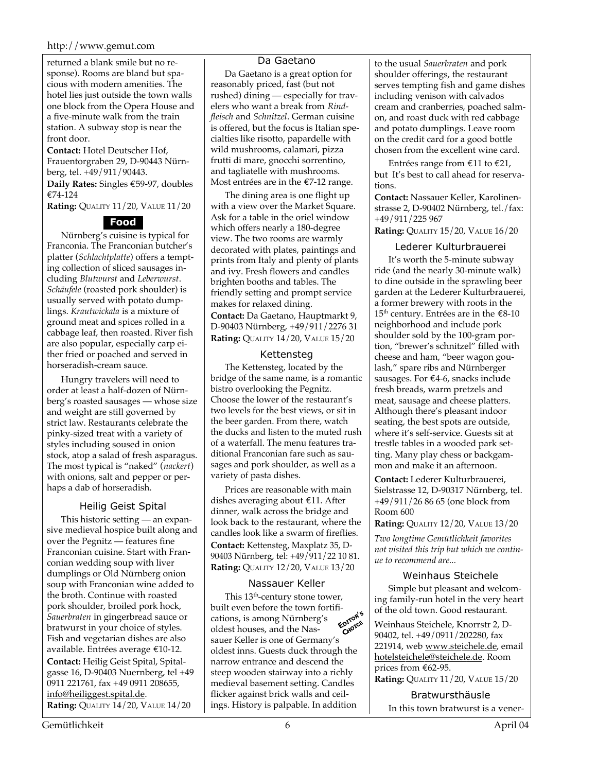#### http://www.gemut.com

returned a blank smile but no response). Rooms are bland but spacious with modern amenities. The hotel lies just outside the town walls one block from the Opera House and a five-minute walk from the train station. A subway stop is near the front door.

**Contact:** Hotel Deutscher Hof, Frauentorgraben 29, D-90443 Nürnberg, tel. +49/911/90443.

**Daily Rates:** Singles €59-97, doubles €74-124

**Rating:** QUALITY 11/20, VALUE 11/20

#### **Food**

Nürnberg's cuisine is typical for Franconia. The Franconian butcher's platter (*Schlachtplatte*) offers a tempting collection of sliced sausages including *Blutwurst* and *Leberwurst*. *Schäufele* (roasted pork shoulder) is usually served with potato dumplings. *Krautwickala* is a mixture of ground meat and spices rolled in a cabbage leaf, then roasted. River fish are also popular, especially carp either fried or poached and served in horseradish-cream sauce.

Hungry travelers will need to order at least a half-dozen of Nürnberg's roasted sausages — whose size and weight are still governed by strict law. Restaurants celebrate the pinky-sized treat with a variety of styles including soused in onion stock, atop a salad of fresh asparagus. The most typical is "naked" (*nackert*) with onions, salt and pepper or perhaps a dab of horseradish.

#### Heilig Geist Spital

This historic setting — an expansive medieval hospice built along and over the Pegnitz — features fine Franconian cuisine. Start with Franconian wedding soup with liver dumplings or Old Nürnberg onion soup with Franconian wine added to the broth. Continue with roasted pork shoulder, broiled pork hock, *Sauerbraten* in gingerbread sauce or bratwurst in your choice of styles. Fish and vegetarian dishes are also available. Entrées average €10-12. **Contact:** Heilig Geist Spital, Spitalgasse 16, D-90403 Nuernberg, tel +49 0911 221761, fax +49 0911 208655, info@heiliggest.spital.de. **Rating:** QUALITY 14/20, VALUE 14/20

#### Da Gaetano

Da Gaetano is a great option for reasonably priced, fast (but not rushed) dining — especially for travelers who want a break from *Rindfleisch* and *Schnitzel*. German cuisine is offered, but the focus is Italian specialties like risotto, papardelle with wild mushrooms, calamari, pizza frutti di mare, gnocchi sorrentino, and tagliatelle with mushrooms. Most entrées are in the €7-12 range.

The dining area is one flight up with a view over the Market Square. Ask for a table in the oriel window which offers nearly a 180-degree view. The two rooms are warmly decorated with plates, paintings and prints from Italy and plenty of plants and ivy. Fresh flowers and candles brighten booths and tables. The friendly setting and prompt service makes for relaxed dining. **Contact:** Da Gaetano, Hauptmarkt 9, D-90403 Nürnberg, +49/911/2276 31 **Rating:** QUALITY 14/20, VALUE 15/20

#### Kettensteg

The Kettensteg, located by the bridge of the same name, is a romantic bistro overlooking the Pegnitz. Choose the lower of the restaurant's two levels for the best views, or sit in the beer garden. From there, watch the ducks and listen to the muted rush of a waterfall. The menu features traditional Franconian fare such as sausages and pork shoulder, as well as a variety of pasta dishes.

Prices are reasonable with main dishes averaging about €11. After dinner, walk across the bridge and look back to the restaurant, where the candles look like a swarm of fireflies. **Contact:** Kettensteg, Maxplatz 35, D-90403 Nürnberg, tel: +49/911/22 10 81. **Rating:** QUALITY 12/20, VALUE 13/20

#### Nassauer Keller

This  $13<sup>th</sup>$ -century stone tower, built even before the town fortifi-<br>cations, is among Nürnbero's cations, is among Nürnberg's oldest houses, and the Nasoldest houses, and the Nas-<br>sauer Keller is one of Germany's oldest inns. Guests duck through the narrow entrance and descend the steep wooden stairway into a richly medieval basement setting. Candles flicker against brick walls and ceilings. History is palpable. In addition

to the usual *Sauerbraten* and pork shoulder offerings, the restaurant serves tempting fish and game dishes including venison with calvados cream and cranberries, poached salmon, and roast duck with red cabbage and potato dumplings. Leave room on the credit card for a good bottle chosen from the excellent wine card.

Entrées range from €11 to €21, but It's best to call ahead for reservations.

**Contact:** Nassauer Keller, Karolinenstrasse 2, D-90402 Nürnberg, tel./fax: +49/911/225 967

**Rating:** QUALITY 15/20, VALUE 16/20

#### Lederer Kulturbrauerei

It's worth the 5-minute subway ride (and the nearly 30-minute walk) to dine outside in the sprawling beer garden at the Lederer Kulturbrauerei, a former brewery with roots in the  $15<sup>th</sup>$  century. Entrées are in the  $£8-10$ neighborhood and include pork shoulder sold by the 100-gram portion, "brewer's schnitzel" filled with cheese and ham, "beer wagon goulash," spare ribs and Nürnberger sausages. For €4-6, snacks include fresh breads, warm pretzels and meat, sausage and cheese platters. Although there's pleasant indoor seating, the best spots are outside, where it's self-service. Guests sit at trestle tables in a wooded park setting. Many play chess or backgammon and make it an afternoon.

**Contact:** Lederer Kulturbrauerei, Sielstrasse 12, D-90317 Nürnberg, tel. +49/911/26 86 65 (one block from Room 600

**Rating:** QUALITY 12/20, VALUE 13/20

*Two longtime Gemütlichkeit favorites not visited this trip but which we continue to recommend are...*

#### Weinhaus Steichele

Simple but pleasant and welcoming family-run hotel in the very heart of the old town. Good restaurant.

Weinhaus Steichele, Knorrstr 2, D-90402, tel. +49/0911/202280, fax 221914, web www.steichele.de, email hotelsteichele@steichele.de. Room prices from €62-95.

**Rating: QUALITY 11/20, VALUE 15/20** 

Bratwursthäusle

In this town bratwurst is a vener-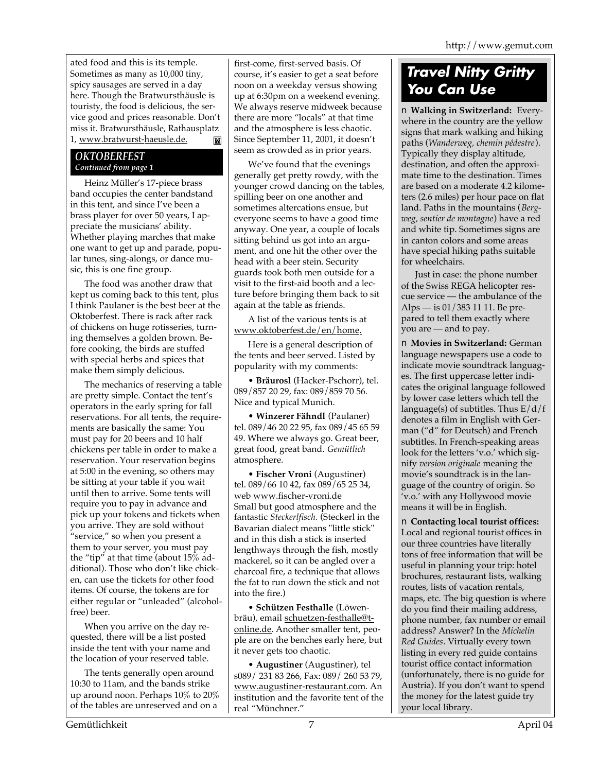ated food and this is its temple. Sometimes as many as 10,000 tiny, spicy sausages are served in a day here. Though the Bratwursthäusle is touristy, the food is delicious, the service good and prices reasonable. Don't miss it. Bratwursthäusle, Rathausplatz 1, www.bratwurst-haeusle.de. M

### *OKTOBERFEST Continued from page 1*

Heinz Müller's 17-piece brass band occupies the center bandstand in this tent, and since I've been a brass player for over 50 years, I appreciate the musicians' ability. Whether playing marches that make one want to get up and parade, popular tunes, sing-alongs, or dance music, this is one fine group.

The food was another draw that kept us coming back to this tent, plus I think Paulaner is the best beer at the Oktoberfest. There is rack after rack of chickens on huge rotisseries, turning themselves a golden brown. Before cooking, the birds are stuffed with special herbs and spices that make them simply delicious.

The mechanics of reserving a table are pretty simple. Contact the tent's operators in the early spring for fall reservations. For all tents, the requirements are basically the same: You must pay for 20 beers and 10 half chickens per table in order to make a reservation. Your reservation begins at 5:00 in the evening, so others may be sitting at your table if you wait until then to arrive. Some tents will require you to pay in advance and pick up your tokens and tickets when you arrive. They are sold without "service," so when you present a them to your server, you must pay the "tip" at that time (about 15% additional). Those who don't like chicken, can use the tickets for other food items. Of course, the tokens are for either regular or "unleaded" (alcoholfree) beer.

When you arrive on the day requested, there will be a list posted inside the tent with your name and the location of your reserved table.

The tents generally open around 10:30 to 11am, and the bands strike up around noon. Perhaps 10% to 20% of the tables are unreserved and on a

first-come, first-served basis. Of course, it's easier to get a seat before noon on a weekday versus showing up at 6:30pm on a weekend evening. We always reserve midweek because there are more "locals" at that time and the atmosphere is less chaotic. Since September 11, 2001, it doesn't seem as crowded as in prior years.

We've found that the evenings generally get pretty rowdy, with the younger crowd dancing on the tables, spilling beer on one another and sometimes altercations ensue, but everyone seems to have a good time anyway. One year, a couple of locals sitting behind us got into an argument, and one hit the other over the head with a beer stein. Security guards took both men outside for a visit to the first-aid booth and a lecture before bringing them back to sit again at the table as friends.

A list of the various tents is at www.oktoberfest.de/en/home.

Here is a general description of the tents and beer served. Listed by popularity with my comments:

• **Bräurosl** (Hacker-Pschorr), tel. 089/857 20 29, fax: 089/859 70 56. Nice and typical Munich.

• **Winzerer Fähndl** (Paulaner) tel. 089/46 20 22 95, fax 089/45 65 59 49. Where we always go. Great beer, great food, great band. *Gemütlich* atmosphere.

• **Fischer Vroni** (Augustiner) tel. 089/66 10 42, fax 089/65 25 34, web www.fischer-vroni.de Small but good atmosphere and the fantastic *Steckerlfisch.* (Steckerl in the Bavarian dialect means "little stick" and in this dish a stick is inserted lengthways through the fish, mostly mackerel, so it can be angled over a charcoal fire, a technique that allows the fat to run down the stick and not into the fire.)

• **Schützen Festhalle** (Löwenbräu), email schuetzen-festhalle@tonline.de. Another smaller tent, people are on the benches early here, but it never gets too chaotic.

• **Augustiner** (Augustiner), tel s089/ 231 83 266, Fax: 089/ 260 53 79, www.augustiner-restaurant.com. An institution and the favorite tent of the real "Münchner."

# *Travel Nitty Gritty You Can Use*

■ **Walking in Switzerland:** Everywhere in the country are the yellow signs that mark walking and hiking paths (*Wanderweg, chemin pédestre*). Typically they display altitude, destination, and often the approximate time to the destination. Times are based on a moderate 4.2 kilometers (2.6 miles) per hour pace on flat land. Paths in the mountains (*Bergweg, sentier de montagne*) have a red and white tip. Sometimes signs are in canton colors and some areas have special hiking paths suitable for wheelchairs.

Just in case: the phone number of the Swiss REGA helicopter rescue service — the ambulance of the Alps — is 01/383 11 11. Be prepared to tell them exactly where you are — and to pay.

■ **Movies in Switzerland: German** language newspapers use a code to indicate movie soundtrack languages. The first uppercase letter indicates the original language followed by lower case letters which tell the language(s) of subtitles. Thus  $E/d/f$ denotes a film in English with German ("d" for Deutsch) and French subtitles. In French-speaking areas look for the letters 'v.o.' which signify *version originale* meaning the movie's soundtrack is in the language of the country of origin. So 'v.o.' with any Hollywood movie means it will be in English.

■ **Contacting local tourist offices:** Local and regional tourist offices in our three countries have literally tons of free information that will be useful in planning your trip: hotel brochures, restaurant lists, walking routes, lists of vacation rentals, maps, etc. The big question is where do you find their mailing address, phone number, fax number or email address? Answer? In the *Michelin Red Guides*. Virtually every town listing in every red guide contains tourist office contact information (unfortunately, there is no guide for Austria). If you don't want to spend the money for the latest guide try your local library.